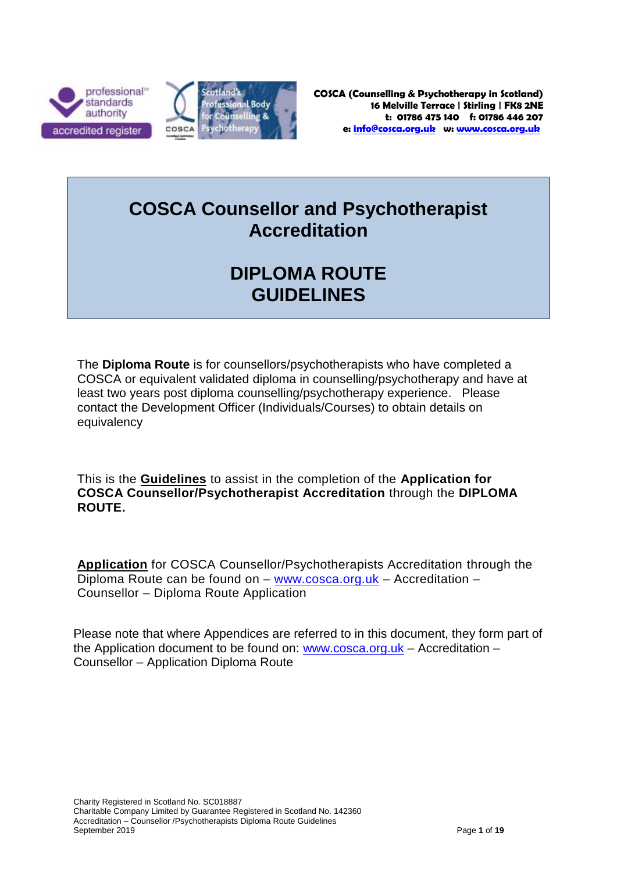



# **COSCA Counsellor and Psychotherapist Accreditation**

# **DIPLOMA ROUTE GUIDELINES**

The **Diploma Route** is for counsellors/psychotherapists who have completed a COSCA or equivalent validated diploma in counselling/psychotherapy and have at least two years post diploma counselling/psychotherapy experience. Please contact the Development Officer (Individuals/Courses) to obtain details on equivalency

This is the **Guidelines** to assist in the completion of the **Application for COSCA Counsellor/Psychotherapist Accreditation** through the **DIPLOMA ROUTE.**

**Application** for COSCA Counsellor/Psychotherapists Accreditation through the Diploma Route can be found on – [www.cosca.org.uk](http://www.cosca.org.uk/) – Accreditation – Counsellor – Diploma Route Application

Please note that where Appendices are referred to in this document, they form part of the Application document to be found on: [www.cosca.org.uk](http://www.cosca.org.uk/) – Accreditation – Counsellor – Application Diploma Route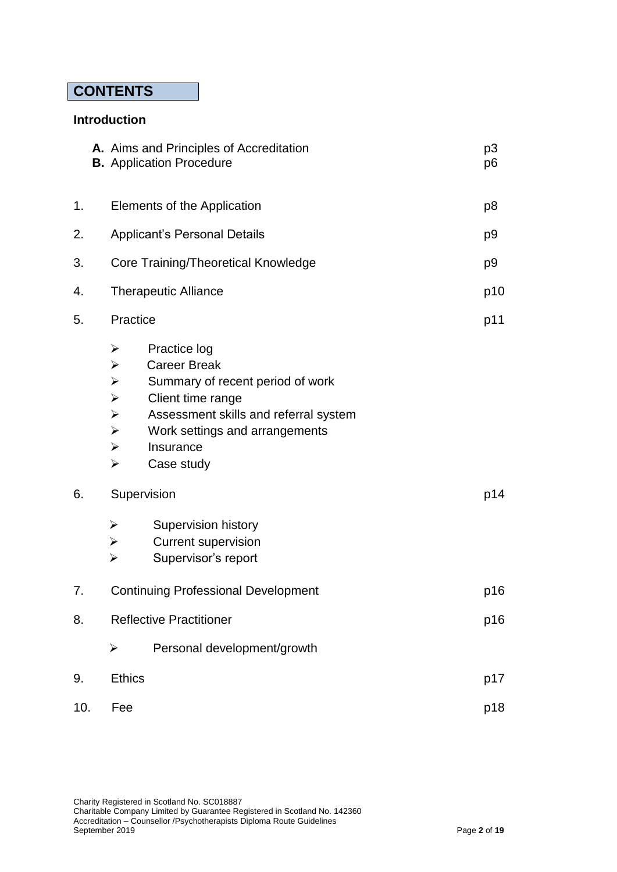## **CONTENTS**

### **Introduction**

|     |  | A. Aims and Principles of Accreditation<br><b>B.</b> Application Procedure                                                                                                       |                                                                                                                                                                                                    | p <sub>3</sub><br>p6 |
|-----|--|----------------------------------------------------------------------------------------------------------------------------------------------------------------------------------|----------------------------------------------------------------------------------------------------------------------------------------------------------------------------------------------------|----------------------|
| 1.  |  | Elements of the Application                                                                                                                                                      |                                                                                                                                                                                                    | p <sub>8</sub>       |
| 2.  |  | <b>Applicant's Personal Details</b>                                                                                                                                              |                                                                                                                                                                                                    | p <sub>9</sub>       |
| 3.  |  | <b>Core Training/Theoretical Knowledge</b>                                                                                                                                       |                                                                                                                                                                                                    | p <sub>9</sub>       |
| 4.  |  | <b>Therapeutic Alliance</b>                                                                                                                                                      |                                                                                                                                                                                                    | p10                  |
| 5.  |  | Practice                                                                                                                                                                         |                                                                                                                                                                                                    | p11                  |
|     |  | ➤<br>$\blacktriangleright$<br>$\blacktriangleright$<br>$\blacktriangleright$<br>$\blacktriangleright$<br>$\blacktriangleright$<br>$\blacktriangleright$<br>$\blacktriangleright$ | Practice log<br><b>Career Break</b><br>Summary of recent period of work<br>Client time range<br>Assessment skills and referral system<br>Work settings and arrangements<br>Insurance<br>Case study |                      |
| 6.  |  | Supervision                                                                                                                                                                      |                                                                                                                                                                                                    | p14                  |
|     |  | $\blacktriangleright$<br>$\blacktriangleright$<br>$\blacktriangleright$                                                                                                          | Supervision history<br><b>Current supervision</b><br>Supervisor's report                                                                                                                           |                      |
| 7.  |  | <b>Continuing Professional Development</b>                                                                                                                                       |                                                                                                                                                                                                    | p16                  |
| 8.  |  | <b>Reflective Practitioner</b>                                                                                                                                                   |                                                                                                                                                                                                    | p16                  |
|     |  | $\blacktriangleright$                                                                                                                                                            | Personal development/growth                                                                                                                                                                        |                      |
| 9.  |  | <b>Ethics</b>                                                                                                                                                                    |                                                                                                                                                                                                    | p17                  |
| 10. |  | Fee                                                                                                                                                                              |                                                                                                                                                                                                    | p18                  |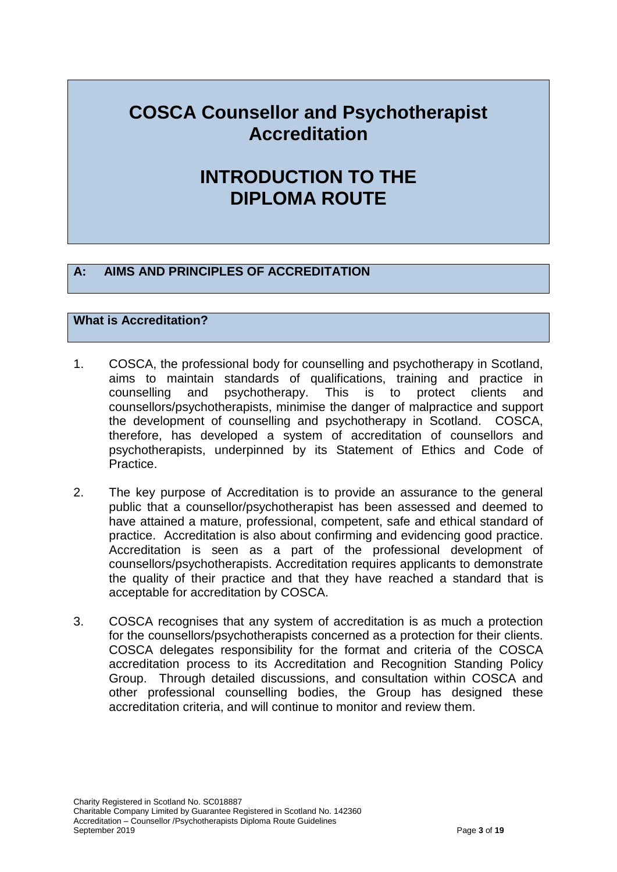# **COSCA Counsellor and Psychotherapist Accreditation**

# **INTRODUCTION TO THE DIPLOMA ROUTE**

## **A: AIMS AND PRINCIPLES OF ACCREDITATION**

## **What is Accreditation?**

- 1. COSCA, the professional body for counselling and psychotherapy in Scotland, aims to maintain standards of qualifications, training and practice in counselling and psychotherapy. This is to protect clients and counsellors/psychotherapists, minimise the danger of malpractice and support the development of counselling and psychotherapy in Scotland. COSCA, therefore, has developed a system of accreditation of counsellors and psychotherapists, underpinned by its Statement of Ethics and Code of Practice.
- 2. The key purpose of Accreditation is to provide an assurance to the general public that a counsellor/psychotherapist has been assessed and deemed to have attained a mature, professional, competent, safe and ethical standard of practice. Accreditation is also about confirming and evidencing good practice. Accreditation is seen as a part of the professional development of counsellors/psychotherapists. Accreditation requires applicants to demonstrate the quality of their practice and that they have reached a standard that is acceptable for accreditation by COSCA.
- 3. COSCA recognises that any system of accreditation is as much a protection for the counsellors/psychotherapists concerned as a protection for their clients. COSCA delegates responsibility for the format and criteria of the COSCA accreditation process to its Accreditation and Recognition Standing Policy Group. Through detailed discussions, and consultation within COSCA and other professional counselling bodies, the Group has designed these accreditation criteria, and will continue to monitor and review them.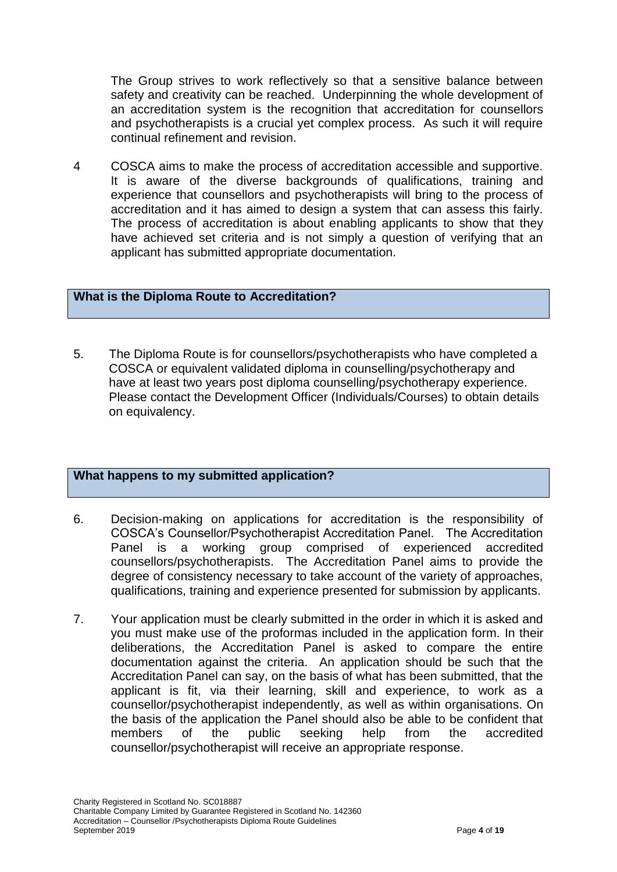The Group strives to work reflectively so that a sensitive balance between safety and creativity can be reached. Underpinning the whole development of an accreditation system is the recognition that accreditation for counsellors and psychotherapists is a crucial yet complex process. As such it will require continual refinement and revision.

4 COSCA aims to make the process of accreditation accessible and supportive. It is aware of the diverse backgrounds of qualifications, training and experience that counsellors and psychotherapists will bring to the process of accreditation and it has aimed to design a system that can assess this fairly. The process of accreditation is about enabling applicants to show that they have achieved set criteria and is not simply a question of verifying that an applicant has submitted appropriate documentation.

#### **What is the Diploma Route to Accreditation?**

5. The Diploma Route is for counsellors/psychotherapists who have completed a COSCA or equivalent validated diploma in counselling/psychotherapy and have at least two years post diploma counselling/psychotherapy experience. Please contact the Development Officer (Individuals/Courses) to obtain details on equivalency.

#### **What happens to my submitted application?**

- 6. Decision-making on applications for accreditation is the responsibility of COSCA's Counsellor/Psychotherapist Accreditation Panel. The Accreditation Panel is a working group comprised of experienced accredited counsellors/psychotherapists. The Accreditation Panel aims to provide the degree of consistency necessary to take account of the variety of approaches, qualifications, training and experience presented for submission by applicants.
- 7. Your application must be clearly submitted in the order in which it is asked and you must make use of the proformas included in the application form. In their deliberations, the Accreditation Panel is asked to compare the entire documentation against the criteria. An application should be such that the Accreditation Panel can say, on the basis of what has been submitted, that the applicant is fit, via their learning, skill and experience, to work as a counsellor/psychotherapist independently, as well as within organisations. On the basis of the application the Panel should also be able to be confident that members of the public seeking help from the accredited counsellor/psychotherapist will receive an appropriate response.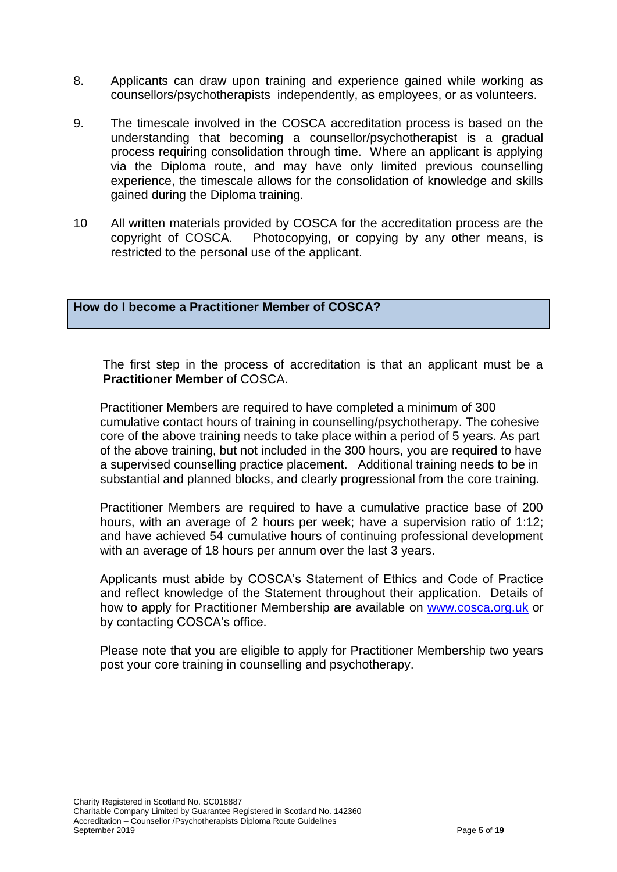- 8. Applicants can draw upon training and experience gained while working as counsellors/psychotherapists independently, as employees, or as volunteers.
- 9. The timescale involved in the COSCA accreditation process is based on the understanding that becoming a counsellor/psychotherapist is a gradual process requiring consolidation through time. Where an applicant is applying via the Diploma route, and may have only limited previous counselling experience, the timescale allows for the consolidation of knowledge and skills gained during the Diploma training.
- 10 All written materials provided by COSCA for the accreditation process are the copyright of COSCA. Photocopying, or copying by any other means, is restricted to the personal use of the applicant.

**How do I become a Practitioner Member of COSCA?**

The first step in the process of accreditation is that an applicant must be a **Practitioner Member** of COSCA.

Practitioner Members are required to have completed a minimum of 300 cumulative contact hours of training in counselling/psychotherapy. The cohesive core of the above training needs to take place within a period of 5 years. As part of the above training, but not included in the 300 hours, you are required to have a supervised counselling practice placement. Additional training needs to be in substantial and planned blocks, and clearly progressional from the core training.

Practitioner Members are required to have a cumulative practice base of 200 hours, with an average of 2 hours per week; have a supervision ratio of 1:12; and have achieved 54 cumulative hours of continuing professional development with an average of 18 hours per annum over the last 3 years.

Applicants must abide by COSCA's Statement of Ethics and Code of Practice and reflect knowledge of the Statement throughout their application. Details of how to apply for Practitioner Membership are available on [www.cosca.org.uk](http://www.cosca.org.uk/) or by contacting COSCA's office.

Please note that you are eligible to apply for Practitioner Membership two years post your core training in counselling and psychotherapy.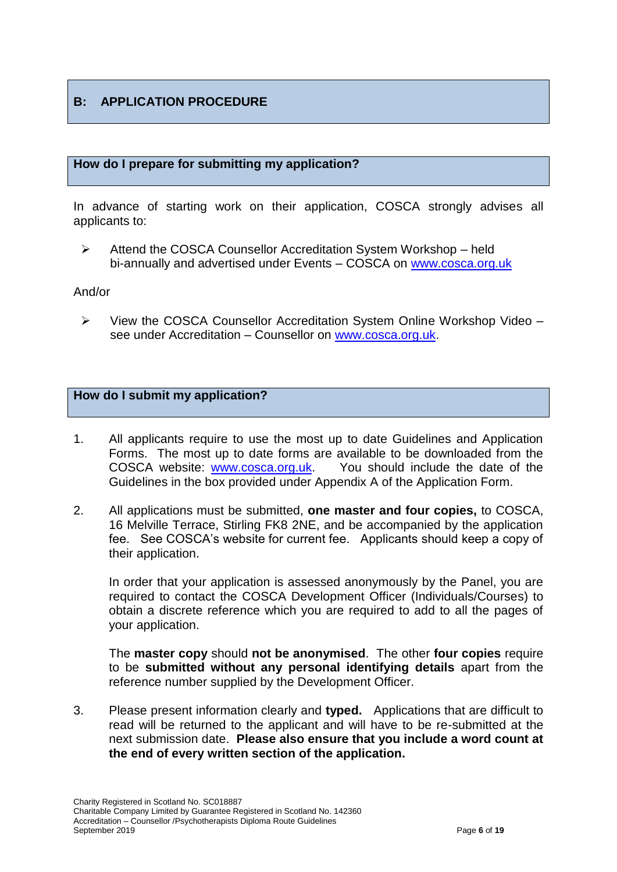## **B: APPLICATION PROCEDURE**

#### **How do I prepare for submitting my application?**

In advance of starting work on their application, COSCA strongly advises all applicants to:

 Attend the COSCA Counsellor Accreditation System Workshop – held bi-annually and advertised under Events – COSCA on [www.cosca.org.uk](http://www.cosca.org.uk/)

#### And/or

 $\triangleright$  View the COSCA Counsellor Accreditation System Online Workshop Video – see under Accreditation – Counsellor on [www.cosca.org.uk.](http://www.cosca.org.uk/)

#### **How do I submit my application?**

- 1. All applicants require to use the most up to date Guidelines and Application Forms. The most up to date forms are available to be downloaded from the COSCA website: [www.cosca.org.uk.](http://www.cosca.org.uk/) You should include the date of the Guidelines in the box provided under Appendix A of the Application Form.
- 2. All applications must be submitted, **one master and four copies,** to COSCA, 16 Melville Terrace, Stirling FK8 2NE, and be accompanied by the application fee. See COSCA's website for current fee. Applicants should keep a copy of their application.

In order that your application is assessed anonymously by the Panel, you are required to contact the COSCA Development Officer (Individuals/Courses) to obtain a discrete reference which you are required to add to all the pages of your application.

The **master copy** should **not be anonymised**. The other **four copies** require to be **submitted without any personal identifying details** apart from the reference number supplied by the Development Officer.

3. Please present information clearly and **typed.** Applications that are difficult to read will be returned to the applicant and will have to be re-submitted at the next submission date. **Please also ensure that you include a word count at the end of every written section of the application.**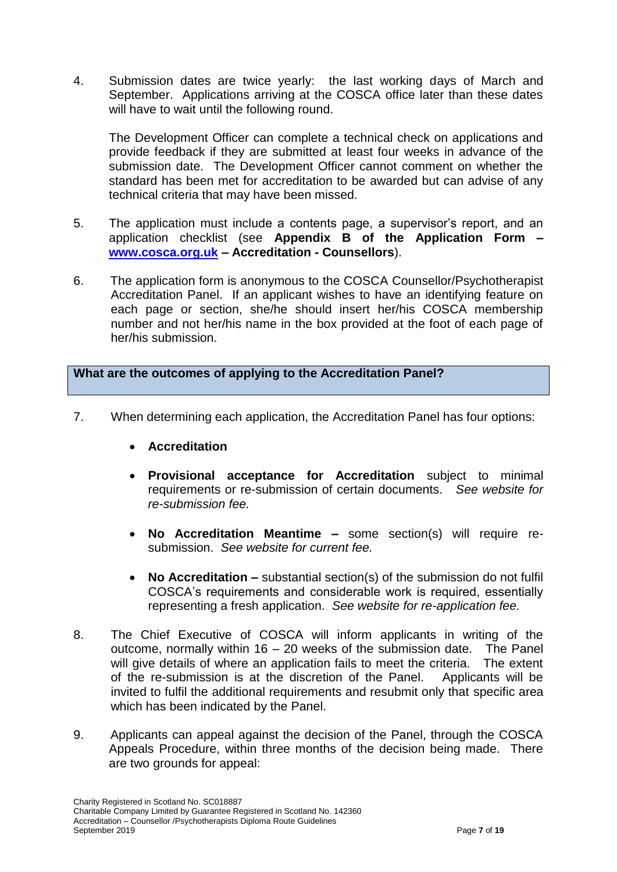4. Submission dates are twice yearly: the last working days of March and September. Applications arriving at the COSCA office later than these dates will have to wait until the following round.

The Development Officer can complete a technical check on applications and provide feedback if they are submitted at least four weeks in advance of the submission date. The Development Officer cannot comment on whether the standard has been met for accreditation to be awarded but can advise of any technical criteria that may have been missed.

- 5. The application must include a contents page, a supervisor's report, and an application checklist (see **Appendix B of the Application Form – [www.cosca.org.uk](http://www.cosca.org.uk/) – Accreditation - Counsellors**).
- 6. The application form is anonymous to the COSCA Counsellor/Psychotherapist Accreditation Panel. If an applicant wishes to have an identifying feature on each page or section, she/he should insert her/his COSCA membership number and not her/his name in the box provided at the foot of each page of her/his submission.

**What are the outcomes of applying to the Accreditation Panel?** 

- 7. When determining each application, the Accreditation Panel has four options:
	- **Accreditation**
	- **Provisional acceptance for Accreditation** subject to minimal requirements or re-submission of certain documents. *See website for re-submission fee.*
	- **No Accreditation Meantime –** some section(s) will require resubmission. *See website for current fee.*
	- **No Accreditation –** substantial section(s) of the submission do not fulfil COSCA's requirements and considerable work is required, essentially representing a fresh application. *See website for re-application fee.*
- 8. The Chief Executive of COSCA will inform applicants in writing of the outcome, normally within 16 – 20 weeks of the submission date. The Panel will give details of where an application fails to meet the criteria. The extent of the re-submission is at the discretion of the Panel. Applicants will be invited to fulfil the additional requirements and resubmit only that specific area which has been indicated by the Panel.
- 9. Applicants can appeal against the decision of the Panel, through the COSCA Appeals Procedure, within three months of the decision being made. There are two grounds for appeal: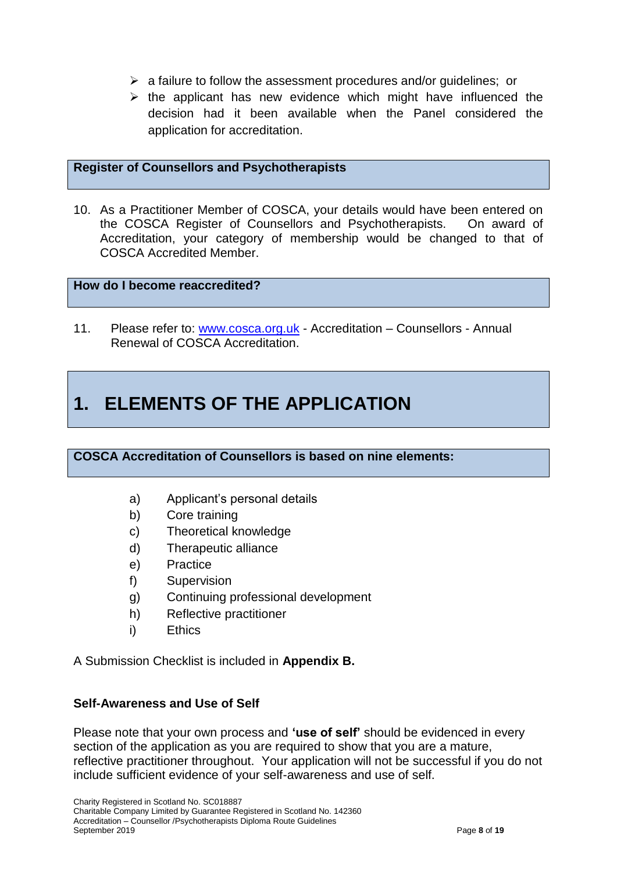- $\triangleright$  a failure to follow the assessment procedures and/or guidelines; or
- $\triangleright$  the applicant has new evidence which might have influenced the decision had it been available when the Panel considered the application for accreditation.

#### **Register of Counsellors and Psychotherapists**

10. As a Practitioner Member of COSCA, your details would have been entered on the COSCA Register of Counsellors and Psychotherapists. On award of Accreditation, your category of membership would be changed to that of COSCA Accredited Member.

#### **How do I become reaccredited?**

11. Please refer to: [www.cosca.org.uk](http://www.cosca.org.uk/) - Accreditation – Counsellors - Annual Renewal of COSCA Accreditation.

## **1. ELEMENTS OF THE APPLICATION**

#### **COSCA Accreditation of Counsellors is based on nine elements:**

- a) Applicant's personal details
- b) Core training
- c) Theoretical knowledge
- d) Therapeutic alliance
- e) Practice
- f) Supervision
- g) Continuing professional development
- h) Reflective practitioner
- i) Ethics

A Submission Checklist is included in **Appendix B.**

#### **Self-Awareness and Use of Self**

Please note that your own process and **'use of self'** should be evidenced in every section of the application as you are required to show that you are a mature, reflective practitioner throughout. Your application will not be successful if you do not include sufficient evidence of your self-awareness and use of self.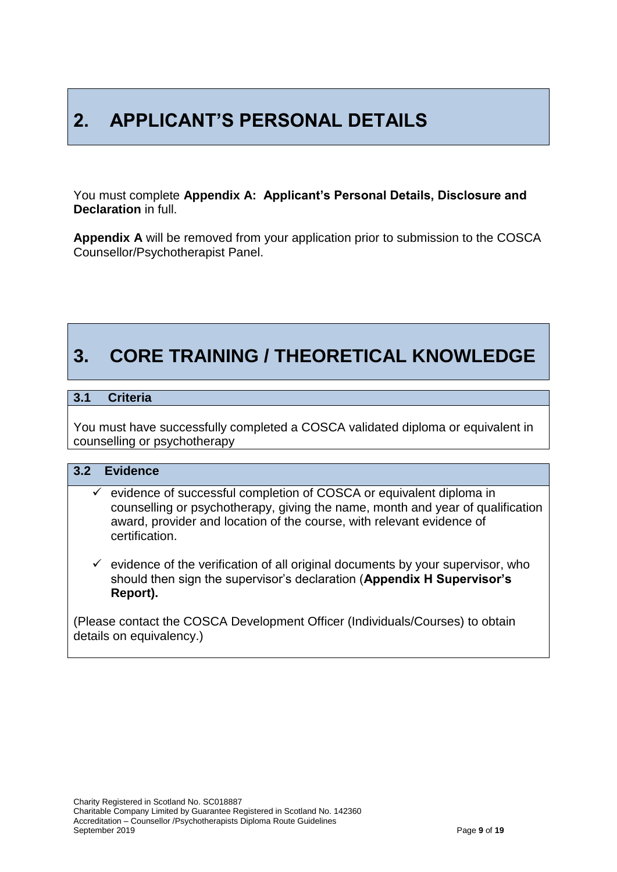# **2. APPLICANT'S PERSONAL DETAILS**

You must complete **Appendix A: Applicant's Personal Details, Disclosure and Declaration** in full.

**Appendix A** will be removed from your application prior to submission to the COSCA Counsellor/Psychotherapist Panel.

# **3. CORE TRAINING / THEORETICAL KNOWLEDGE**

#### **3.1 Criteria**

You must have successfully completed a COSCA validated diploma or equivalent in counselling or psychotherapy

#### **3.2 Evidence**

- $\checkmark$  evidence of successful completion of COSCA or equivalent diploma in counselling or psychotherapy, giving the name, month and year of qualification award, provider and location of the course, with relevant evidence of certification.
- $\checkmark$  evidence of the verification of all original documents by your supervisor, who should then sign the supervisor's declaration (**Appendix H Supervisor's Report).**

(Please contact the COSCA Development Officer (Individuals/Courses) to obtain details on equivalency.)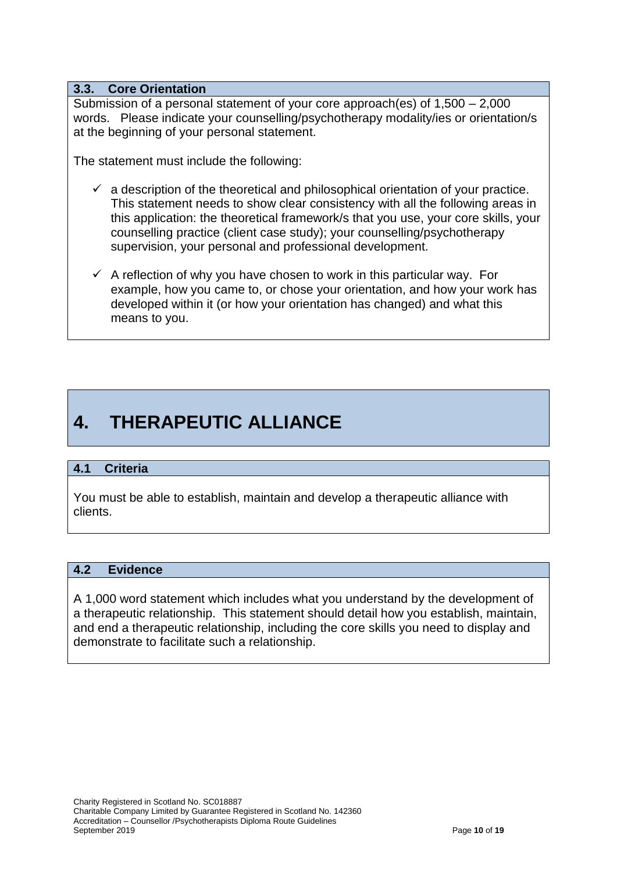#### **3.3. Core Orientation**

Submission of a personal statement of your core approach(es) of 1,500 – 2,000 words. Please indicate your counselling/psychotherapy modality/ies or orientation/s at the beginning of your personal statement.

The statement must include the following:

- $\checkmark$  a description of the theoretical and philosophical orientation of your practice. This statement needs to show clear consistency with all the following areas in this application: the theoretical framework/s that you use, your core skills, your counselling practice (client case study); your counselling/psychotherapy supervision, your personal and professional development.
- $\checkmark$  A reflection of why you have chosen to work in this particular way. For example, how you came to, or chose your orientation, and how your work has developed within it (or how your orientation has changed) and what this means to you.

# **4. THERAPEUTIC ALLIANCE**

#### **4.1 Criteria**

You must be able to establish, maintain and develop a therapeutic alliance with clients.

#### **4.2 Evidence**

A 1,000 word statement which includes what you understand by the development of a therapeutic relationship. This statement should detail how you establish, maintain, and end a therapeutic relationship, including the core skills you need to display and demonstrate to facilitate such a relationship.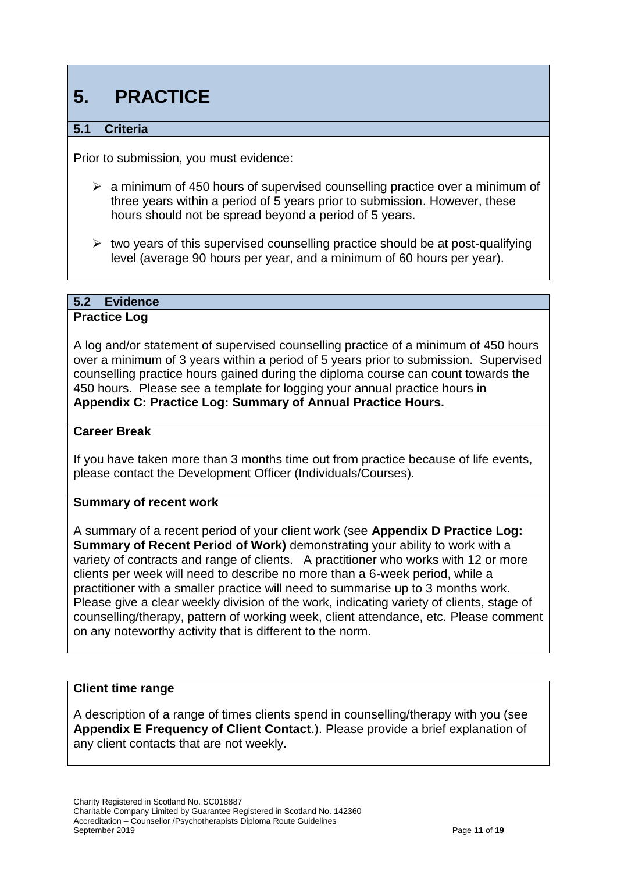# **5. PRACTICE**

## **5.1 Criteria**

Prior to submission, you must evidence:

- $\geq$  a minimum of 450 hours of supervised counselling practice over a minimum of three years within a period of 5 years prior to submission. However, these hours should not be spread beyond a period of 5 years.
- $\triangleright$  two years of this supervised counselling practice should be at post-qualifying level (average 90 hours per year, and a minimum of 60 hours per year).

### **5.2 Evidence**

#### **Practice Log**

A log and/or statement of supervised counselling practice of a minimum of 450 hours over a minimum of 3 years within a period of 5 years prior to submission. Supervised counselling practice hours gained during the diploma course can count towards the 450 hours. Please see a template for logging your annual practice hours in **Appendix C: Practice Log: Summary of Annual Practice Hours.**

#### **Career Break**

If you have taken more than 3 months time out from practice because of life events, please contact the Development Officer (Individuals/Courses).

#### **Summary of recent work**

A summary of a recent period of your client work (see **Appendix D Practice Log: Summary of Recent Period of Work)** demonstrating your ability to work with a variety of contracts and range of clients. A practitioner who works with 12 or more clients per week will need to describe no more than a 6-week period, while a practitioner with a smaller practice will need to summarise up to 3 months work. Please give a clear weekly division of the work, indicating variety of clients, stage of counselling/therapy, pattern of working week, client attendance, etc. Please comment on any noteworthy activity that is different to the norm.

#### **Client time range**

A description of a range of times clients spend in counselling/therapy with you (see **Appendix E Frequency of Client Contact**.). Please provide a brief explanation of any client contacts that are not weekly.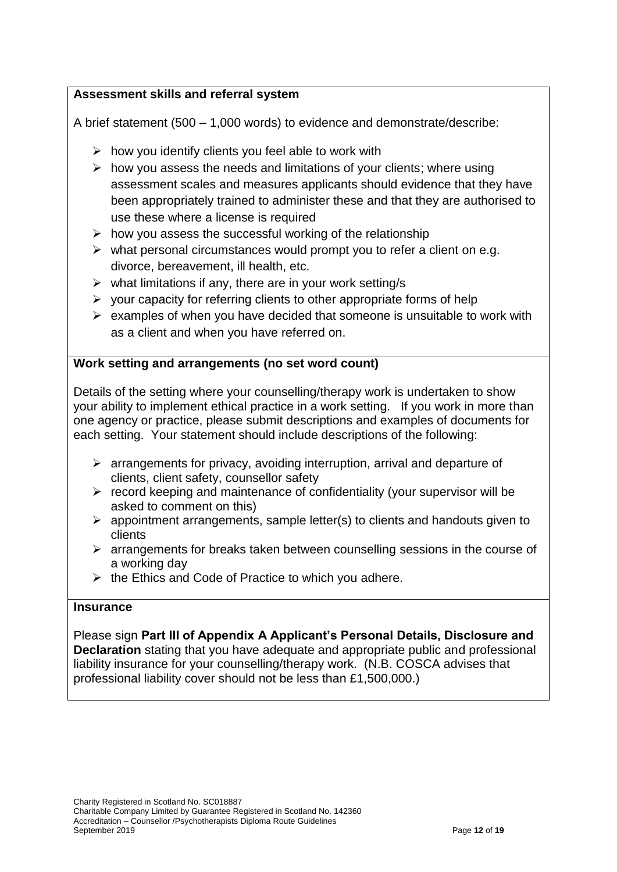## **Assessment skills and referral system**

A brief statement (500 – 1,000 words) to evidence and demonstrate/describe:

- $\triangleright$  how you identify clients you feel able to work with
- $\triangleright$  how you assess the needs and limitations of your clients; where using assessment scales and measures applicants should evidence that they have been appropriately trained to administer these and that they are authorised to use these where a license is required
- $\triangleright$  how you assess the successful working of the relationship
- $\triangleright$  what personal circumstances would prompt you to refer a client on e.g. divorce, bereavement, ill health, etc.
- $\triangleright$  what limitations if any, there are in your work setting/s
- $\triangleright$  your capacity for referring clients to other appropriate forms of help
- $\triangleright$  examples of when you have decided that someone is unsuitable to work with as a client and when you have referred on.

### **Work setting and arrangements (no set word count)**

Details of the setting where your counselling/therapy work is undertaken to show your ability to implement ethical practice in a work setting. If you work in more than one agency or practice, please submit descriptions and examples of documents for each setting. Your statement should include descriptions of the following:

- $\triangleright$  arrangements for privacy, avoiding interruption, arrival and departure of clients, client safety, counsellor safety
- $\triangleright$  record keeping and maintenance of confidentiality (your supervisor will be asked to comment on this)
- $\triangleright$  appointment arrangements, sample letter(s) to clients and handouts given to clients
- $\triangleright$  arrangements for breaks taken between counselling sessions in the course of a working day
- $\triangleright$  the Ethics and Code of Practice to which you adhere.

#### **Insurance**

Please sign **Part III of Appendix A Applicant's Personal Details, Disclosure and Declaration** stating that you have adequate and appropriate public and professional liability insurance for your counselling/therapy work. (N.B. COSCA advises that professional liability cover should not be less than £1,500,000.)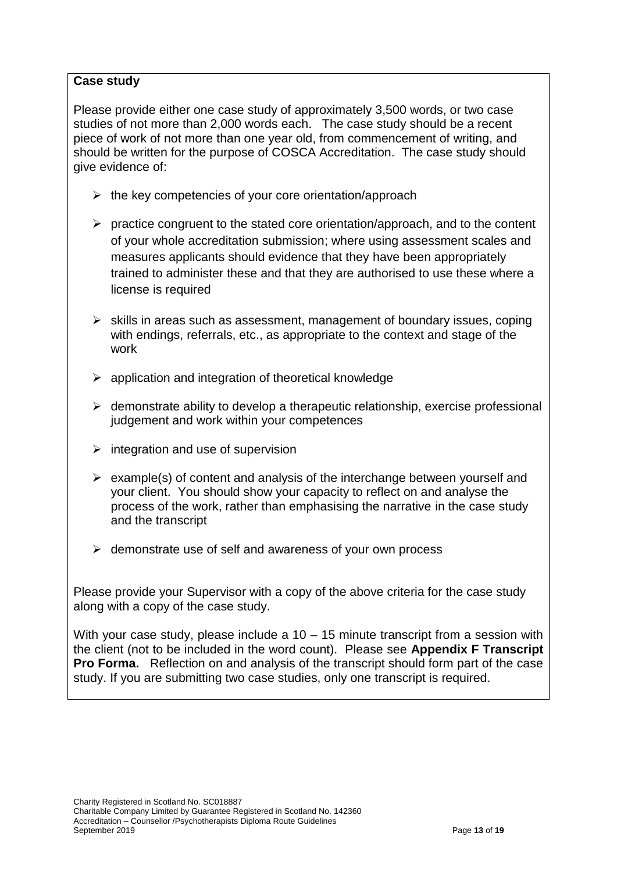### **Case study**

Please provide either one case study of approximately 3,500 words, or two case studies of not more than 2,000 words each. The case study should be a recent piece of work of not more than one year old, from commencement of writing, and should be written for the purpose of COSCA Accreditation. The case study should give evidence of:

- $\triangleright$  the key competencies of your core orientation/approach
- $\triangleright$  practice congruent to the stated core orientation/approach, and to the content of your whole accreditation submission; where using assessment scales and measures applicants should evidence that they have been appropriately trained to administer these and that they are authorised to use these where a license is required
- $\triangleright$  skills in areas such as assessment, management of boundary issues, coping with endings, referrals, etc., as appropriate to the context and stage of the work
- $\triangleright$  application and integration of theoretical knowledge
- $\triangleright$  demonstrate ability to develop a therapeutic relationship, exercise professional judgement and work within your competences
- $\triangleright$  integration and use of supervision
- $\triangleright$  example(s) of content and analysis of the interchange between yourself and your client. You should show your capacity to reflect on and analyse the process of the work, rather than emphasising the narrative in the case study and the transcript
- $\triangleright$  demonstrate use of self and awareness of your own process

Please provide your Supervisor with a copy of the above criteria for the case study along with a copy of the case study.

With your case study, please include a 10 – 15 minute transcript from a session with the client (not to be included in the word count). Please see **Appendix F Transcript Pro Forma.** Reflection on and analysis of the transcript should form part of the case study. If you are submitting two case studies, only one transcript is required.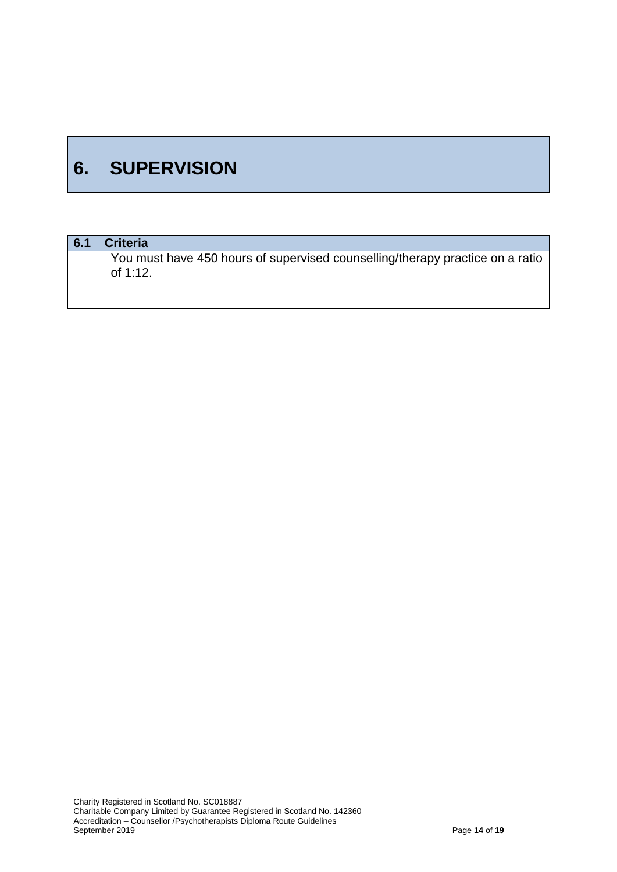# **6. SUPERVISION**

## **6.1 Criteria**

You must have 450 hours of supervised counselling/therapy practice on a ratio of 1:12.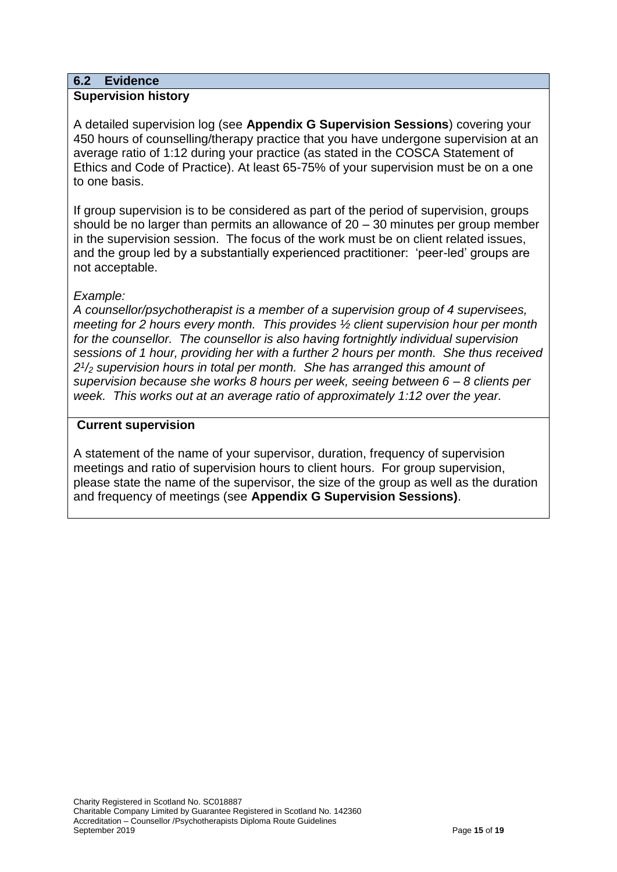#### **6.2 Evidence Supervision history**

A detailed supervision log (see **Appendix G Supervision Sessions**) covering your 450 hours of counselling/therapy practice that you have undergone supervision at an average ratio of 1:12 during your practice (as stated in the COSCA Statement of Ethics and Code of Practice). At least 65-75% of your supervision must be on a one to one basis.

If group supervision is to be considered as part of the period of supervision, groups should be no larger than permits an allowance of 20 – 30 minutes per group member in the supervision session. The focus of the work must be on client related issues, and the group led by a substantially experienced practitioner: 'peer-led' groups are not acceptable.

#### *Example:*

*A counsellor/psychotherapist is a member of a supervision group of 4 supervisees, meeting for 2 hours every month. This provides ½ client supervision hour per month for the counsellor. The counsellor is also having fortnightly individual supervision sessions of 1 hour, providing her with a further 2 hours per month. She thus received 2 1 /<sup>2</sup> supervision hours in total per month. She has arranged this amount of supervision because she works 8 hours per week, seeing between 6 – 8 clients per week. This works out at an average ratio of approximately 1:12 over the year.*

#### **Current supervision**

A statement of the name of your supervisor, duration, frequency of supervision meetings and ratio of supervision hours to client hours. For group supervision, please state the name of the supervisor, the size of the group as well as the duration and frequency of meetings (see **Appendix G Supervision Sessions)**.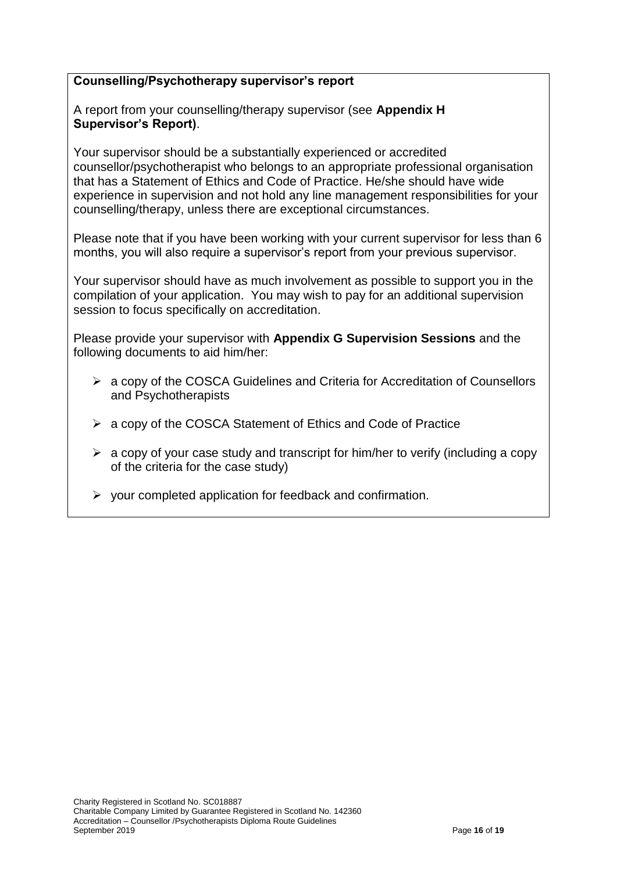### **Counselling/Psychotherapy supervisor's report**

A report from your counselling/therapy supervisor (see **Appendix H Supervisor's Report)**.

Your supervisor should be a substantially experienced or accredited counsellor/psychotherapist who belongs to an appropriate professional organisation that has a Statement of Ethics and Code of Practice. He/she should have wide experience in supervision and not hold any line management responsibilities for your counselling/therapy, unless there are exceptional circumstances.

Please note that if you have been working with your current supervisor for less than 6 months, you will also require a supervisor's report from your previous supervisor.

Your supervisor should have as much involvement as possible to support you in the compilation of your application. You may wish to pay for an additional supervision session to focus specifically on accreditation.

Please provide your supervisor with **Appendix G Supervision Sessions** and the following documents to aid him/her:

- a copy of the COSCA Guidelines and Criteria for Accreditation of Counsellors and Psychotherapists
- $\triangleright$  a copy of the COSCA Statement of Ethics and Code of Practice
- $\triangleright$  a copy of your case study and transcript for him/her to verify (including a copy of the criteria for the case study)
- $\triangleright$  your completed application for feedback and confirmation.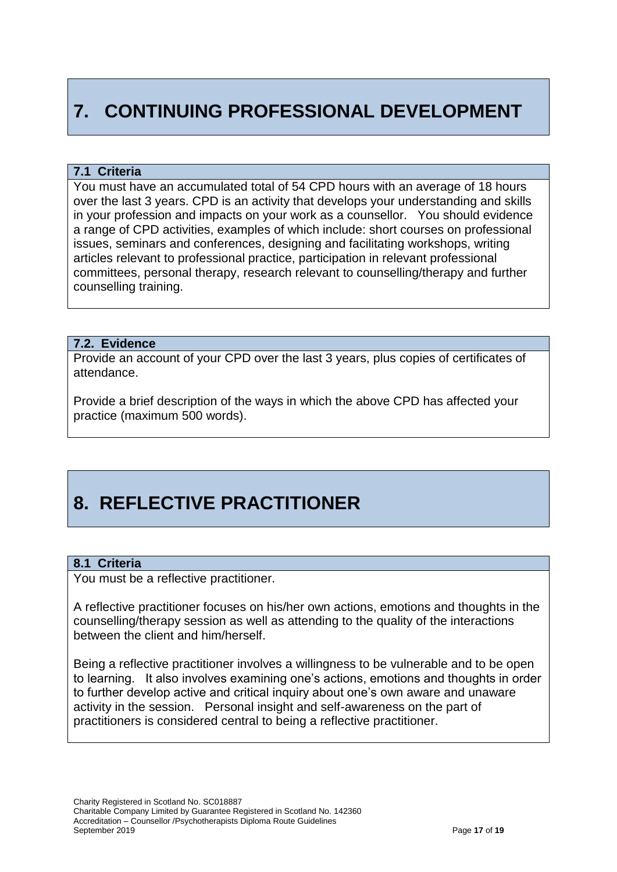# **7. CONTINUING PROFESSIONAL DEVELOPMENT**

#### **7.1 Criteria**

You must have an accumulated total of 54 CPD hours with an average of 18 hours over the last 3 years. CPD is an activity that develops your understanding and skills in your profession and impacts on your work as a counsellor. You should evidence a range of CPD activities, examples of which include: short courses on professional issues, seminars and conferences, designing and facilitating workshops, writing articles relevant to professional practice, participation in relevant professional committees, personal therapy, research relevant to counselling/therapy and further counselling training.

#### **7.2. Evidence**

Provide an account of your CPD over the last 3 years, plus copies of certificates of attendance.

Provide a brief description of the ways in which the above CPD has affected your practice (maximum 500 words).

# **8. REFLECTIVE PRACTITIONER**

#### **8.1 Criteria**

You must be a reflective practitioner.

A reflective practitioner focuses on his/her own actions, emotions and thoughts in the counselling/therapy session as well as attending to the quality of the interactions between the client and him/herself.

Being a reflective practitioner involves a willingness to be vulnerable and to be open to learning. It also involves examining one's actions, emotions and thoughts in order to further develop active and critical inquiry about one's own aware and unaware activity in the session. Personal insight and self-awareness on the part of practitioners is considered central to being a reflective practitioner.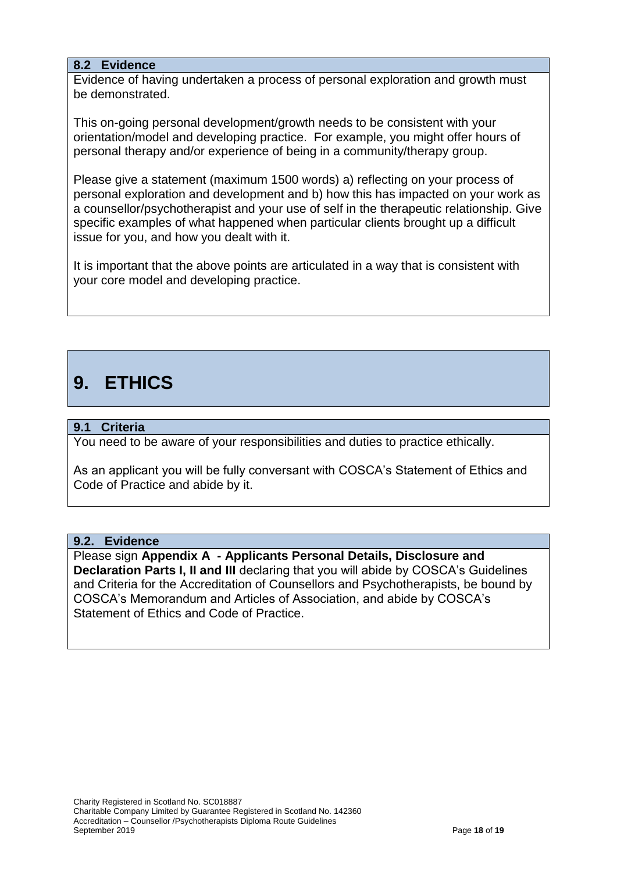### **8.2 Evidence**

Evidence of having undertaken a process of personal exploration and growth must be demonstrated.

This on-going personal development/growth needs to be consistent with your orientation/model and developing practice. For example, you might offer hours of personal therapy and/or experience of being in a community/therapy group.

Please give a statement (maximum 1500 words) a) reflecting on your process of personal exploration and development and b) how this has impacted on your work as a counsellor/psychotherapist and your use of self in the therapeutic relationship. Give specific examples of what happened when particular clients brought up a difficult issue for you, and how you dealt with it.

It is important that the above points are articulated in a way that is consistent with your core model and developing practice.

# **9. ETHICS**

### **9.1 Criteria**

You need to be aware of your responsibilities and duties to practice ethically.

As an applicant you will be fully conversant with COSCA's Statement of Ethics and Code of Practice and abide by it.

#### **9.2. Evidence**

Please sign **Appendix A - Applicants Personal Details, Disclosure and Declaration Parts I, II and III** declaring that you will abide by COSCA's Guidelines and Criteria for the Accreditation of Counsellors and Psychotherapists, be bound by COSCA's Memorandum and Articles of Association, and abide by COSCA's Statement of Ethics and Code of Practice.